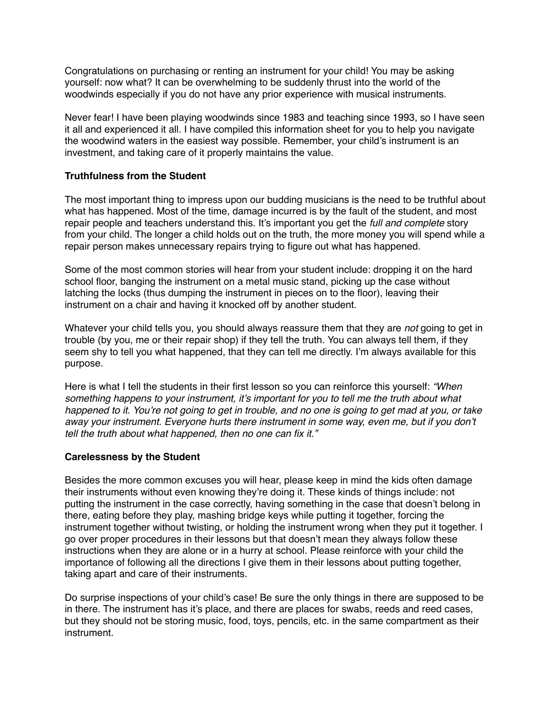Congratulations on purchasing or renting an instrument for your child! You may be asking yourself: now what? It can be overwhelming to be suddenly thrust into the world of the woodwinds especially if you do not have any prior experience with musical instruments.

Never fear! I have been playing woodwinds since 1983 and teaching since 1993, so I have seen it all and experienced it all. I have compiled this information sheet for you to help you navigate the woodwind waters in the easiest way possible. Remember, your child's instrument is an investment, and taking care of it properly maintains the value.

## **Truthfulness from the Student**

The most important thing to impress upon our budding musicians is the need to be truthful about what has happened. Most of the time, damage incurred is by the fault of the student, and most repair people and teachers understand this. It's important you get the *full and complete* story from your child. The longer a child holds out on the truth, the more money you will spend while a repair person makes unnecessary repairs trying to figure out what has happened.

Some of the most common stories will hear from your student include: dropping it on the hard school floor, banging the instrument on a metal music stand, picking up the case without latching the locks (thus dumping the instrument in pieces on to the floor), leaving their instrument on a chair and having it knocked off by another student.

Whatever your child tells you, you should always reassure them that they are *not* going to get in trouble (by you, me or their repair shop) if they tell the truth. You can always tell them, if they seem shy to tell you what happened, that they can tell me directly. I'm always available for this purpose.

Here is what I tell the students in their first lesson so you can reinforce this yourself: *"When something happens to your instrument, it's important for you to tell me the truth about what happened to it. You're not going to get in trouble, and no one is going to get mad at you, or take away your instrument. Everyone hurts there instrument in some way, even me, but if you don't tell the truth about what happened, then no one can fix it."*

#### **Carelessness by the Student**

Besides the more common excuses you will hear, please keep in mind the kids often damage their instruments without even knowing they're doing it. These kinds of things include: not putting the instrument in the case correctly, having something in the case that doesn't belong in there, eating before they play, mashing bridge keys while putting it together, forcing the instrument together without twisting, or holding the instrument wrong when they put it together. I go over proper procedures in their lessons but that doesn't mean they always follow these instructions when they are alone or in a hurry at school. Please reinforce with your child the importance of following all the directions I give them in their lessons about putting together, taking apart and care of their instruments.

Do surprise inspections of your child's case! Be sure the only things in there are supposed to be in there. The instrument has it's place, and there are places for swabs, reeds and reed cases, but they should not be storing music, food, toys, pencils, etc. in the same compartment as their instrument.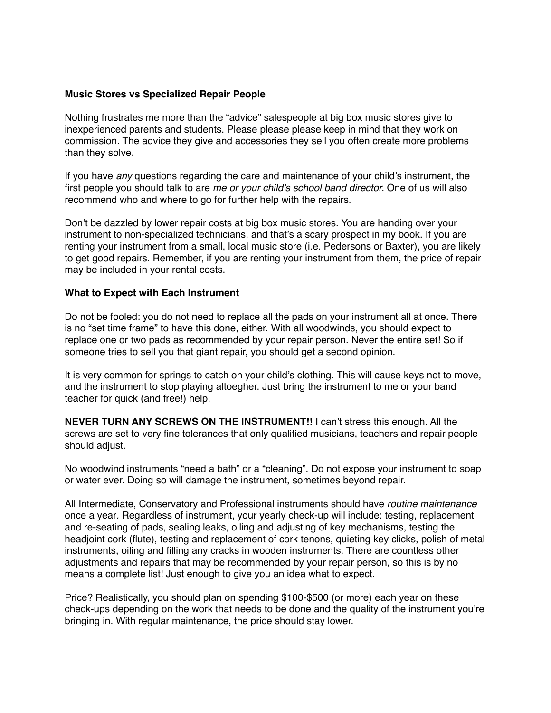#### **Music Stores vs Specialized Repair People**

Nothing frustrates me more than the "advice" salespeople at big box music stores give to inexperienced parents and students. Please please please keep in mind that they work on commission. The advice they give and accessories they sell you often create more problems than they solve.

If you have *any* questions regarding the care and maintenance of your child's instrument, the first people you should talk to are *me or your child's school band director.* One of us will also recommend who and where to go for further help with the repairs.

Don't be dazzled by lower repair costs at big box music stores. You are handing over your instrument to non-specialized technicians, and that's a scary prospect in my book. If you are renting your instrument from a small, local music store (i.e. Pedersons or Baxter), you are likely to get good repairs. Remember, if you are renting your instrument from them, the price of repair may be included in your rental costs.

### **What to Expect with Each Instrument**

Do not be fooled: you do not need to replace all the pads on your instrument all at once. There is no "set time frame" to have this done, either. With all woodwinds, you should expect to replace one or two pads as recommended by your repair person. Never the entire set! So if someone tries to sell you that giant repair, you should get a second opinion.

It is very common for springs to catch on your child's clothing. This will cause keys not to move, and the instrument to stop playing altoegher. Just bring the instrument to me or your band teacher for quick (and free!) help.

**NEVER TURN ANY SCREWS ON THE INSTRUMENT!!** I can't stress this enough. All the screws are set to very fine tolerances that only qualified musicians, teachers and repair people should adjust.

No woodwind instruments "need a bath" or a "cleaning". Do not expose your instrument to soap or water ever. Doing so will damage the instrument, sometimes beyond repair.

All Intermediate, Conservatory and Professional instruments should have *routine maintenance*  once a year*.* Regardless of instrument, your yearly check-up will include: testing, replacement and re-seating of pads, sealing leaks, oiling and adjusting of key mechanisms, testing the headjoint cork (flute), testing and replacement of cork tenons, quieting key clicks, polish of metal instruments, oiling and filling any cracks in wooden instruments. There are countless other adjustments and repairs that may be recommended by your repair person, so this is by no means a complete list! Just enough to give you an idea what to expect.

Price? Realistically, you should plan on spending \$100-\$500 (or more) each year on these check-ups depending on the work that needs to be done and the quality of the instrument you're bringing in. With regular maintenance, the price should stay lower.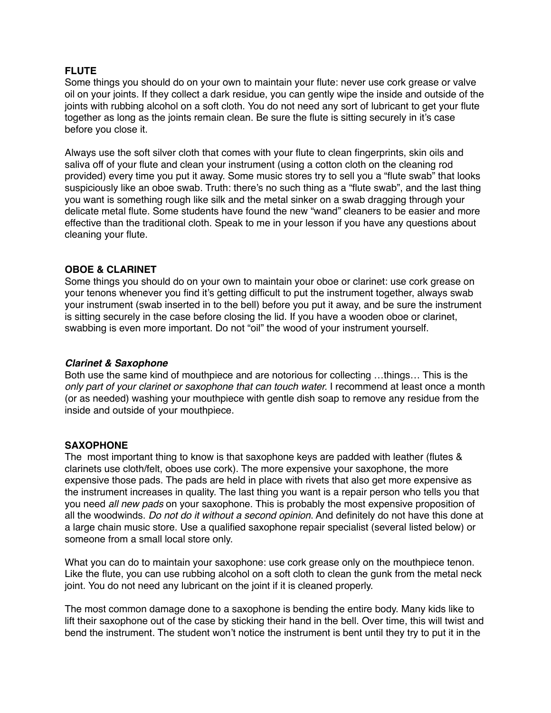#### **FLUTE**

Some things you should do on your own to maintain your flute: never use cork grease or valve oil on your joints. If they collect a dark residue, you can gently wipe the inside and outside of the joints with rubbing alcohol on a soft cloth. You do not need any sort of lubricant to get your flute together as long as the joints remain clean. Be sure the flute is sitting securely in it's case before you close it.

Always use the soft silver cloth that comes with your flute to clean fingerprints, skin oils and saliva off of your flute and clean your instrument (using a cotton cloth on the cleaning rod provided) every time you put it away. Some music stores try to sell you a "flute swab" that looks suspiciously like an oboe swab. Truth: there's no such thing as a "flute swab", and the last thing you want is something rough like silk and the metal sinker on a swab dragging through your delicate metal flute. Some students have found the new "wand" cleaners to be easier and more effective than the traditional cloth. Speak to me in your lesson if you have any questions about cleaning your flute.

### **OBOE & CLARINET**

Some things you should do on your own to maintain your oboe or clarinet: use cork grease on your tenons whenever you find it's getting difficult to put the instrument together, always swab your instrument (swab inserted in to the bell) before you put it away, and be sure the instrument is sitting securely in the case before closing the lid. If you have a wooden oboe or clarinet, swabbing is even more important. Do not "oil" the wood of your instrument yourself.

#### *Clarinet & Saxophone*

Both use the same kind of mouthpiece and are notorious for collecting …things… This is the *only part of your clarinet or saxophone that can touch water.* I recommend at least once a month (or as needed) washing your mouthpiece with gentle dish soap to remove any residue from the inside and outside of your mouthpiece.

## **SAXOPHONE**

The most important thing to know is that saxophone keys are padded with leather (flutes & clarinets use cloth/felt, oboes use cork). The more expensive your saxophone, the more expensive those pads. The pads are held in place with rivets that also get more expensive as the instrument increases in quality. The last thing you want is a repair person who tells you that you need *all new pads* on your saxophone. This is probably the most expensive proposition of all the woodwinds. *Do not do it without a second opinion*. And definitely do not have this done at a large chain music store. Use a qualified saxophone repair specialist (several listed below) or someone from a small local store only.

What you can do to maintain your saxophone: use cork grease only on the mouthpiece tenon. Like the flute, you can use rubbing alcohol on a soft cloth to clean the gunk from the metal neck joint. You do not need any lubricant on the joint if it is cleaned properly.

The most common damage done to a saxophone is bending the entire body. Many kids like to lift their saxophone out of the case by sticking their hand in the bell. Over time, this will twist and bend the instrument. The student won't notice the instrument is bent until they try to put it in the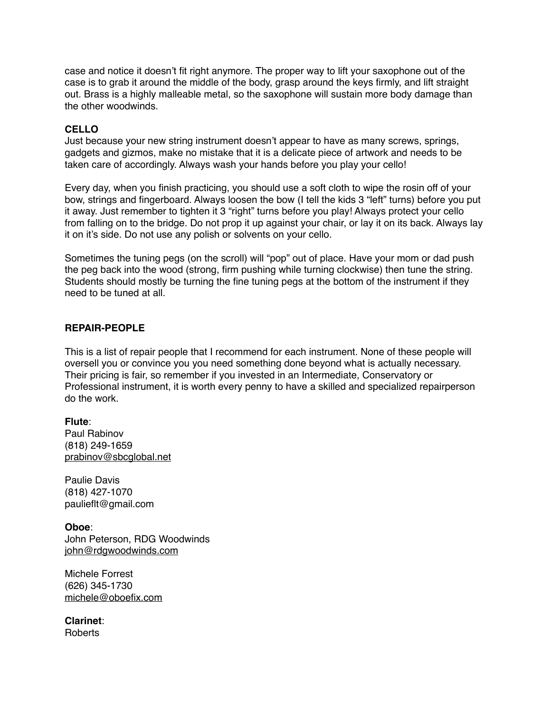case and notice it doesn't fit right anymore. The proper way to lift your saxophone out of the case is to grab it around the middle of the body, grasp around the keys firmly, and lift straight out. Brass is a highly malleable metal, so the saxophone will sustain more body damage than the other woodwinds.

## **CELLO**

Just because your new string instrument doesn't appear to have as many screws, springs, gadgets and gizmos, make no mistake that it is a delicate piece of artwork and needs to be taken care of accordingly. Always wash your hands before you play your cello!

Every day, when you finish practicing, you should use a soft cloth to wipe the rosin off of your bow, strings and fingerboard. Always loosen the bow (I tell the kids 3 "left" turns) before you put it away. Just remember to tighten it 3 "right" turns before you play! Always protect your cello from falling on to the bridge. Do not prop it up against your chair, or lay it on its back. Always lay it on it's side. Do not use any polish or solvents on your cello.

Sometimes the tuning pegs (on the scroll) will "pop" out of place. Have your mom or dad push the peg back into the wood (strong, firm pushing while turning clockwise) then tune the string. Students should mostly be turning the fine tuning pegs at the bottom of the instrument if they need to be tuned at all.

## **REPAIR-PEOPLE**

This is a list of repair people that I recommend for each instrument. None of these people will oversell you or convince you you need something done beyond what is actually necessary. Their pricing is fair, so remember if you invested in an Intermediate, Conservatory or Professional instrument, it is worth every penny to have a skilled and specialized repairperson do the work.

**Flute**: Paul Rabinov (818) 249-1659 [prabinov@sbcglobal.net](mailto:prabinov@sbcglobal.net)

Paulie Davis (818) 427-1070 paulieflt@gmail.com

**Oboe**: John Peterson, RDG Woodwinds [john@rdgwoodwinds.com](mailto:john@rdgwoodwinds.com)

Michele Forrest (626) 345-1730 [michele@oboefix.com](mailto:michele@oboefix.com)

**Clarinet**: Roberts